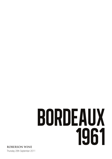# BORDEAUX 1961

Thursday 28th September 2011 **ROBERSON WINE**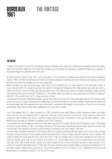### BORDEAUX 1961

## the vintage

#### The vintage

"Vintage of the century" is one of the most abused phrases in Bordeaux wine parlance: no sentence is more likely to have the marketweary wine consumer rolling his or her eyes. But sometimes, just sometimes, the hyperbole is justified and there are a pantheon of truly great vintages that genuinely vie for the crown.

As winter turned to spring in early 1961, many winemakers on the right-bank of Bordeaux were still recovering after the disastrous frosts of 1956. St Emilion and particularly Pomerol had endured widespread replanting and many chateaux were gearing up for what would be one of their first vintages from the very young vines.

Winter had been very wet, but spring began nicely and the mild conditions led to an early flowering in the third week of May. As usual, the early start to the vineyard cycle had bred optimism amongst the Bordelais but this initial positivity was short-lived when a severe frost struck at the end of May, seriously damaging much of the Merlot crop. Surely not another devastating vintage like they had endured just five years previously? Thankfully no - the weather perked up quickly as June progressed and despite the significant reduction in the potential crop, the '61 vintage was back on track.

June was warm and sunny, followed by a similar July that ended with just enough rain to top up the water reserves. This moisture would prove to be crucial, as August developed into a blisteringly hot month that bordered on drought conditions. September was similar and the harvest began later than expected at the end of the month, meaning that the meagre crop had plenty of hang time and the small, concentrated, thick skinned berries were unaffected by rot or any other maladies.

One of the vintages that '61 is often compared to is 1945, but while the two years shared a similar backbone of tannin and acidity, it was clear from the very beginning that '61 had more in the way of plush, up front fruit and charm. What makes this all the more surprising is that the Merlot crop was so small that it barely figured (if at all) in the blends of many top left-bank chateaux - Lafite, Montrose and Domaine du Chevalier for example, are all 100% Cabernet.

Commentators like David Peppercorn and Clive Coates were sure of the '61s quality right from the off. Peppercorn said "I shall always remember the first tastings of 1961s in Bordeaux, because of the remarkably characteristic bouquet which nearly all the wines had from the start. They seemed to possess an extra dimension compared to any other vintage I have seen."

The wines were considered expensive on first release, which is no surprise considering the high quality and tiny crop. It was a vintage that was a financial disaster for many chateaux and the last year that any of the cru classé properties sold their crop sur souche. This system of selling the wines while the fruit is still on the vine is a high risk strategy and in a year when quantities are very low it can mean the chateau owner ends up out of pocket. So it proved in '61, as the release prices for the cru classé wines were sometimes triple that of the 1959 vintage (another superb set of wines) despite the fact that the merchants had taken a large proportion of the volume sur souche at discounted prices. In 1964 when the wines reached London, English bottled cru classés were selling for £1.00 per bottle, chateau bottled second growths for £1.50 and first growths for £3.50. This ratio of 2.33:1 between the first and second growth prices is in contrast to at least 5:1 for the 2010 vintage.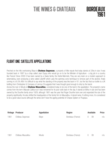BORDEAUX

1961

#### flight One: Satellite appellations

Perched on the hills overlooking Blaye is **Chateau Segonzac**, a property of little repute that today stands at 33ha in size. It was founded back in 1887 by a chap called Jean Dupuy who would go on to be the Minister of Agriculture - a big job in a country like France! Since 2000 it has been owned by a Swiss family, the Herter-Marmets. They are very keen on a modern approach to winemaking, even producing a wine called LibertIR which uses the spinning cone technique to remove part of the alcohol, finally coming in a 6.5% ABV. It is difficult to say what the standing of the property was like back in '61, but the fact that our bottle is a UK bottling from Christopher & Company of Jermyn St suggests that it was thought good enough to ship by the barrel. Across the river in Moulis is **Chateau Maucaillou**, considered today to be one of the best in the appellation. The property's name

comes from the term Mauvais Cailloux as it was renowned for its poor soils back in the day. It stands at 68ha in size and has been owned by the Dourthe family since 1929, although 1961 was the year that Roger Dourthe took over and expanded the size of the property significantly. He also shifted the headquarters of the family firm to Maucaillou. A decent wine, if nothing more, it is considered to be a good value source although the wines don't have the ageing potential of Chasse-Spleen or Poujeaux.

|      | Vintage Producer   | <b>Appellation</b> | Region            | Available | <b>Price</b> |
|------|--------------------|--------------------|-------------------|-----------|--------------|
| 1961 | Château Segonzac   | Blaye              | Bordeaux (France) | Btl       | n/a          |
|      |                    |                    |                   |           |              |
|      |                    |                    |                   |           |              |
|      |                    |                    |                   |           |              |
|      |                    |                    |                   |           |              |
| 1961 | Château Maucaillou | <b>Moulis</b>      | Bordeaux (France) | Btl       | n/a          |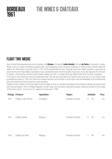#### flight TWO: MEDOC

BORDEAUX

1961

None of these three properties need much introduction, with **Kirwan** a 3rd growth, **Lafon-Rochet** a 4th and **du Tertre** a 5th growth cru classé. Kirwan is one of a number of Bordeaux properties with a name displaying an Irish connection, bestowed on it when an Irish merchant owned the estate in the 18th century. He got the 'chop' in 1792, but the property kept his name. Unusually, Kirwan had a better reputation in years gone by and at the time of the Haut-Medoc classification it was considered the best of the third growths. It was taken over by the negociant firm Schroder & Schyler in 1925 and they refused to begin Chateau bottling until 1967, so tonight's wine was bottled at their HQ in the town of Bordeaux. In the case of Lafon-Rochet the wines are significantly better now than they were before Guy Tesseron (who would go on to buy Pontet-Canet) purchased the property in 1959. Guy made much needed investment, but it has been in recent years under the stewardship of his son Michel that both Lafon-Rochet and Pontet-Canet have made big strides.

Despite du Tertre's position as the finest estate around the village of Arsac, its' reputation had slipped into the doldrums following the second world war. It was purchased in 1961 by Philippe Gasqueton of Calon-Segur and he set about restoring the property. Tonight we will taste the first vintage of that owner's tenure - he sold up to Eric Jalgersma (of Giscours) in 1999.

|      | Vintage Producer     | <b>Appellation</b> | <b>Region</b>     |                | Available | Price |
|------|----------------------|--------------------|-------------------|----------------|-----------|-------|
| 1961 | Château Lafon-Rochet | St Estephe         | Bordeaux (France) | $\bigcirc$     | Btl       | n/a   |
| 1961 | Château Kirwan       | Margaux            | Bordeaux (France) | $\bigcirc$     | Btl       | n/a   |
| 1961 | Château du Tertre    | Margaux            | Bordeaux (France) | $\overline{0}$ | Btl       | n/a   |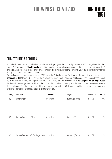**BORDEAUX** 

1961

#### flight Three: st emilion

As previously mentioned, many St Emilion properties were still getting over the '56 frost by the time the 1961 vintage hoved into view. The tiny 1.3ha property of Clos St Martin is a difficult one to find much information about, but it is owned today as it was in 1961 (and actually back to 1850) by the Reiffers family. Nowadays it is something of a Parker favourite, with Michel Rolland calling the shots and big point score for their recent vintages.

The two Beausejour properties were one until 1869, when the Duffau-Lagarrosse family sold off the portion that has been known as **Beausejour-Becot** since 1969. Between those dates it was called simply Beausejour, and the wines were deemed good enough that it was classified as one of the 12 premier grand crus of St Emilion in 1955. Over the road at **Beausejour-Duffau-Lagarrosse** the vineyards have always been considered to be in an excellent location but never quite fulfilled their promise - with the exception of the much lauded 1990 vintage. Nowadays things are improving, but back in 1961 it was not considered to be as good a property as its' sibling despite being granted the status of premier grand cru.

|      | Vintage Producer                                | <b>Appellation</b> | Region            |            | Available | <b>Price</b> |
|------|-------------------------------------------------|--------------------|-------------------|------------|-----------|--------------|
| 1961 | Clos St Martin                                  | St Emilion         | Bordeaux (France) | $\bigcirc$ | Btl       | n/a          |
| 1961 | Château Beausejour (Becot)                      | St Emilion         | Bordeaux (France) | $\theta$   | Btl       | n/a          |
| 1961 | Château Beausejour-Duffau Lagarrosse St Emilion |                    | Bordeaux (France) | $\theta$   | Btl       | n/a          |